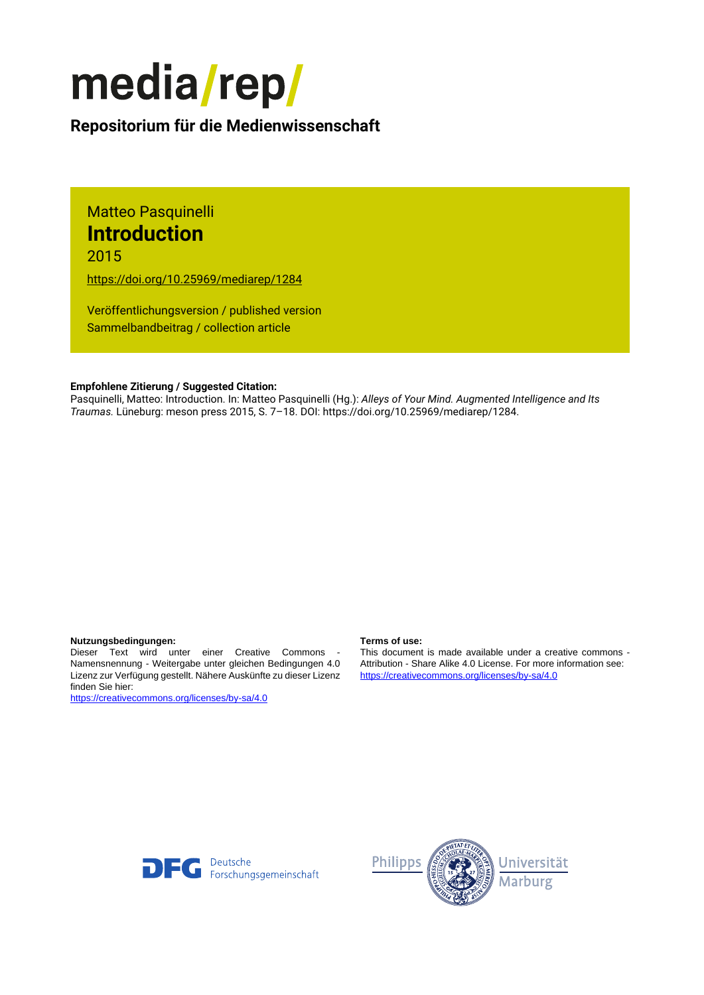

# **Repositorium für die [Medienwissenschaft](https://mediarep.org)**

Matteo Pasquinelli **Introduction** 2015

<https://doi.org/10.25969/mediarep/1284>

Veröffentlichungsversion / published version Sammelbandbeitrag / collection article

### **Empfohlene Zitierung / Suggested Citation:**

Pasquinelli, Matteo: Introduction. In: Matteo Pasquinelli (Hg.): *Alleys of Your Mind. Augmented Intelligence and Its Traumas.* Lüneburg: meson press 2015, S. 7–18. DOI: https://doi.org/10.25969/mediarep/1284.

### **Nutzungsbedingungen: Terms of use:**

Dieser Text wird unter einer Creative Commons - Namensnennung - Weitergabe unter gleichen Bedingungen 4.0 Lizenz zur Verfügung gestellt. Nähere Auskünfte zu dieser Lizenz finden Sie hier:

<https://creativecommons.org/licenses/by-sa/4.0>

This document is made available under a creative commons - Attribution - Share Alike 4.0 License. For more information see: <https://creativecommons.org/licenses/by-sa/4.0>



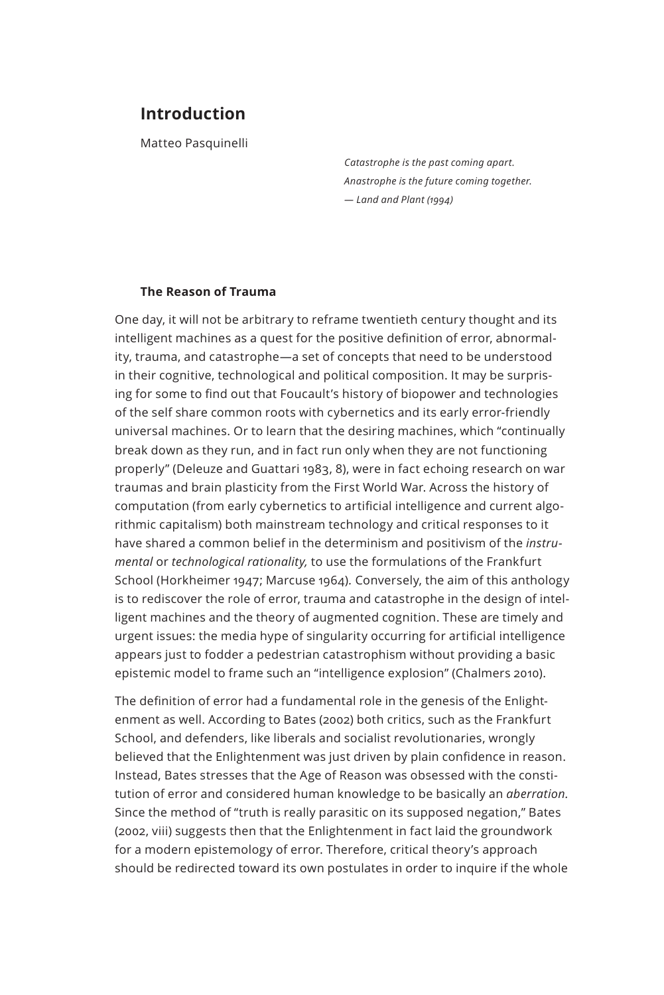## **Introduction**

Matteo Pasquinelli

*Catastrophe is the past coming apart. Anastrophe is the future coming together. — Land and Plant (1994)*

#### **The Reason of Trauma**

One day, it will not be arbitrary to reframe twentieth century thought and its intelligent machines as a quest for the positive definition of error, abnormality, trauma, and catastrophe—a set of concepts that need to be understood in their cognitive, technological and political composition. It may be surprising for some to find out that Foucault's history of biopower and technologies of the self share common roots with cybernetics and its early error-friendly universal machines. Or to learn that the desiring machines, which "continually break down as they run, and in fact run only when they are not functioning properly" (Deleuze and Guattari 1983, 8), were in fact echoing research on war traumas and brain plasticity from the First World War. Across the history of computation (from early cybernetics to artificial intelligence and current algorithmic capitalism) both mainstream technology and critical responses to it have shared a common belief in the determinism and positivism of the *instrumental* or *technological rationality,* to use the formulations of the Frankfurt School (Horkheimer 1947; Marcuse 1964)*.* Conversely, the aim of this anthology is to rediscover the role of error, trauma and catastrophe in the design of intelligent machines and the theory of augmented cognition. These are timely and urgent issues: the media hype of singularity occurring for artificial intelligence appears just to fodder a pedestrian catastrophism without providing a basic epistemic model to frame such an "intelligence explosion" (Chalmers 2010).

The definition of error had a fundamental role in the genesis of the Enlightenment as well. According to Bates (2002) both critics, such as the Frankfurt School, and defenders, like liberals and socialist revolutionaries, wrongly believed that the Enlightenment was just driven by plain confidence in reason. Instead, Bates stresses that the Age of Reason was obsessed with the constitution of error and considered human knowledge to be basically an *aberration.*  Since the method of "truth is really parasitic on its supposed negation," Bates (2002, viii) suggests then that the Enlightenment in fact laid the groundwork for a modern epistemology of error. Therefore, critical theory's approach should be redirected toward its own postulates in order to inquire if the whole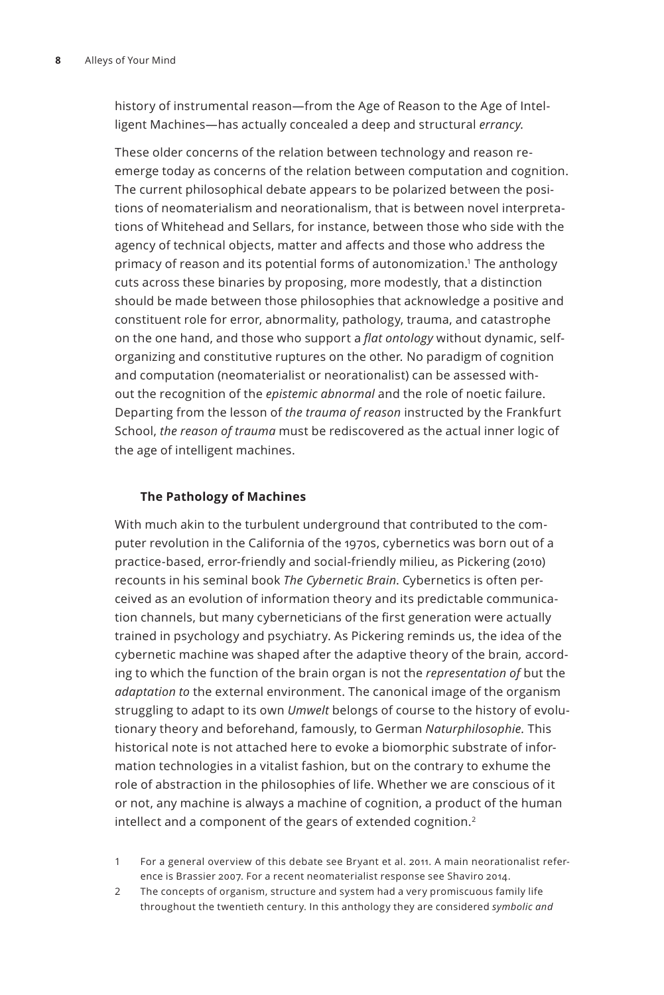history of instrumental reason—from the Age of Reason to the Age of Intelligent Machines—has actually concealed a deep and structural *errancy.*

These older concerns of the relation between technology and reason reemerge today as concerns of the relation between computation and cognition. The current philosophical debate appears to be polarized between the positions of neomaterialism and neorationalism, that is between novel interpretations of Whitehead and Sellars, for instance, between those who side with the agency of technical objects, matter and affects and those who address the primacy of reason and its potential forms of autonomization.1 The anthology cuts across these binaries by proposing, more modestly, that a distinction should be made between those philosophies that acknowledge a positive and constituent role for error, abnormality, pathology, trauma, and catastrophe on the one hand, and those who support a *flat ontology* without dynamic, selforganizing and constitutive ruptures on the other*.* No paradigm of cognition and computation (neomaterialist or neorationalist) can be assessed without the recognition of the *epistemic abnormal* and the role of noetic failure. Departing from the lesson of *the trauma of reason* instructed by the Frankfurt School, *the reason of trauma* must be rediscovered as the actual inner logic of the age of intelligent machines.

#### **The Pathology of Machines**

With much akin to the turbulent underground that contributed to the computer revolution in the California of the 1970s, cybernetics was born out of a practice-based, error-friendly and social-friendly milieu, as Pickering (2010) recounts in his seminal book *The Cybernetic Brain*. Cybernetics is often perceived as an evolution of information theory and its predictable communication channels, but many cyberneticians of the first generation were actually trained in psychology and psychiatry. As Pickering reminds us, the idea of the cybernetic machine was shaped after the adaptive theory of the brain*,* according to which the function of the brain organ is not the *representation of* but the *adaptation to* the external environment. The canonical image of the organism struggling to adapt to its own *Umwelt* belongs of course to the history of evolutionary theory and beforehand, famously, to German *Naturphilosophie.* This historical note is not attached here to evoke a biomorphic substrate of information technologies in a vitalist fashion, but on the contrary to exhume the role of abstraction in the philosophies of life. Whether we are conscious of it or not, any machine is always a machine of cognition, a product of the human intellect and a component of the gears of extended cognition.<sup>2</sup>

- 1 For a general overview of this debate see Bryant et al. 2011. A main neorationalist reference is Brassier 2007. For a recent neomaterialist response see Shaviro 2014.
- 2 The concepts of organism, structure and system had a very promiscuous family life throughout the twentieth century. In this anthology they are considered *symbolic and*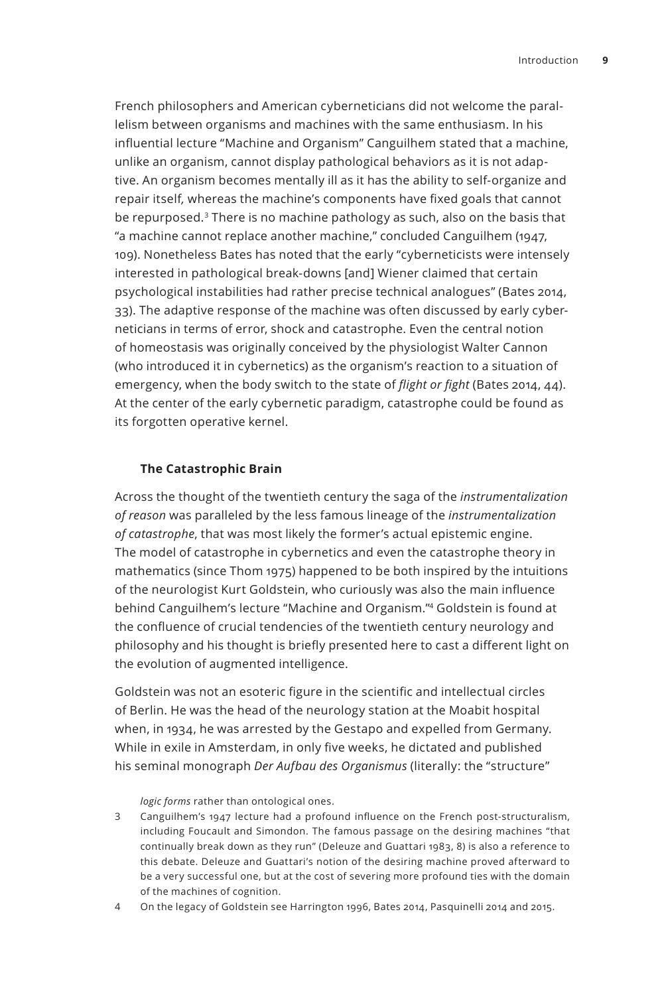French philosophers and American cyberneticians did not welcome the parallelism between organisms and machines with the same enthusiasm. In his influential lecture "Machine and Organism" Canguilhem stated that a machine, unlike an organism, cannot display pathological behaviors as it is not adaptive. An organism becomes mentally ill as it has the ability to self-organize and repair itself*,* whereas the machine's components have fixed goals that cannot be repurposed.<sup>3</sup> There is no machine pathology as such, also on the basis that "a machine cannot replace another machine," concluded Canguilhem (1947, 109). Nonetheless Bates has noted that the early "cyberneticists were intensely interested in pathological break-downs [and] Wiener claimed that certain psychological instabilities had rather precise technical analogues" (Bates 2014, 33). The adaptive response of the machine was often discussed by early cyberneticians in terms of error, shock and catastrophe. Even the central notion of homeostasis was originally conceived by the physiologist Walter Cannon (who introduced it in cybernetics) as the organism's reaction to a situation of emergency, when the body switch to the state of *flight or fight* (Bates 2014, 44). At the center of the early cybernetic paradigm, catastrophe could be found as its forgotten operative kernel.

#### **The Catastrophic Brain**

Across the thought of the twentieth century the saga of the *instrumentalization of reason* was paralleled by the less famous lineage of the *instrumentalization of catastrophe*, that was most likely the former's actual epistemic engine. The model of catastrophe in cybernetics and even the catastrophe theory in mathematics (since Thom 1975) happened to be both inspired by the intuitions of the neurologist Kurt Goldstein, who curiously was also the main influence behind Canguilhem's lecture "Machine and Organism."4 Goldstein is found at the confluence of crucial tendencies of the twentieth century neurology and philosophy and his thought is briefly presented here to cast a different light on the evolution of augmented intelligence.

Goldstein was not an esoteric figure in the scientific and intellectual circles of Berlin. He was the head of the neurology station at the Moabit hospital when, in 1934, he was arrested by the Gestapo and expelled from Germany. While in exile in Amsterdam, in only five weeks, he dictated and published his seminal monograph *Der Aufbau des Organismus* (literally: the "structure"

*logic forms* rather than ontological ones.

4 On the legacy of Goldstein see Harrington 1996, Bates 2014, Pasquinelli 2014 and 2015.

<sup>3</sup> Canguilhem's 1947 lecture had a profound influence on the French post-structuralism, including Foucault and Simondon. The famous passage on the desiring machines "that continually break down as they run" (Deleuze and Guattari 1983, 8) is also a reference to this debate. Deleuze and Guattari's notion of the desiring machine proved afterward to be a very successful one, but at the cost of severing more profound ties with the domain of the machines of cognition.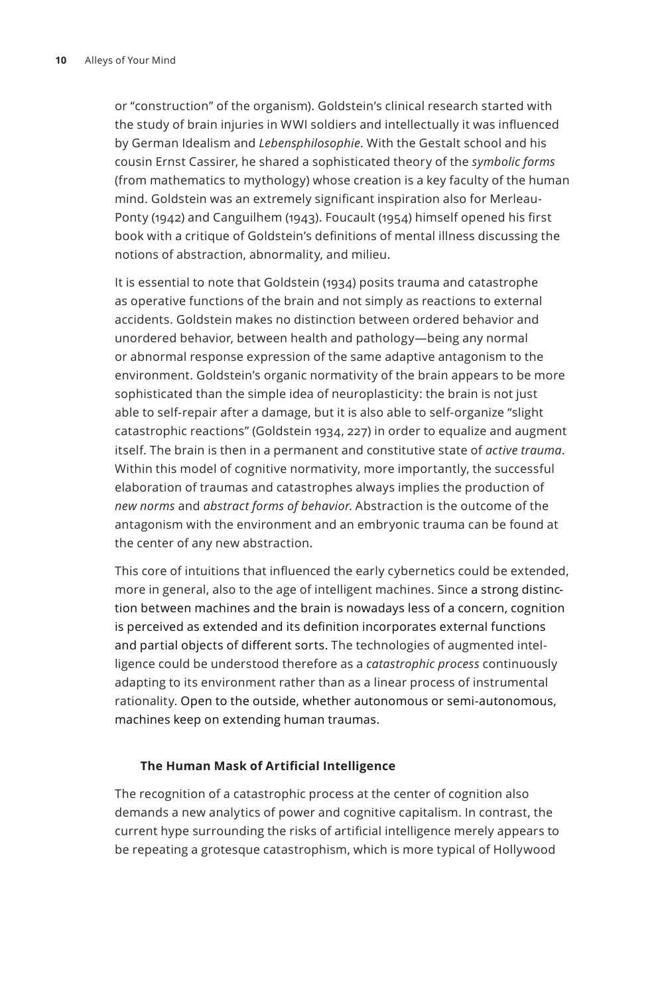or "construction" of the organism). Goldstein's clinical research started with the study of brain injuries in WWI soldiers and intellectually it was influenced by German Idealism and *Lebensphilosophie*. With the Gestalt school and his cousin Ernst Cassirer, he shared a sophisticated theory of the *symbolic forms*  (from mathematics to mythology) whose creation is a key faculty of the human mind. Goldstein was an extremely significant inspiration also for Merleau-Ponty (1942) and Canguilhem (1943). Foucault (1954) himself opened his first book with a critique of Goldstein's definitions of mental illness discussing the notions of abstraction, abnormality, and milieu.

It is essential to note that Goldstein (1934) posits trauma and catastrophe as operative functions of the brain and not simply as reactions to external accidents. Goldstein makes no distinction between ordered behavior and unordered behavior, between health and pathology—being any normal or abnormal response expression of the same adaptive antagonism to the environment. Goldstein's organic normativity of the brain appears to be more sophisticated than the simple idea of neuroplasticity: the brain is not just able to self-repair after a damage, but it is also able to self-organize "slight catastrophic reactions" (Goldstein 1934, 227) in order to equalize and augment itself. The brain is then in a permanent and constitutive state of *active trauma*. Within this model of cognitive normativity, more importantly, the successful elaboration of traumas and catastrophes always implies the production of *new norms* and *abstract forms of behavior*. Abstraction is the outcome of the antagonism with the environment and an embryonic trauma can be found at the center of any new abstraction.

This core of intuitions that influenced the early cybernetics could be extended, more in general, also to the age of intelligent machines. Since a strong distinction between machines and the brain is nowadays less of a concern, cognition is perceived as extended and its definition incorporates external functions and partial objects of different sorts. The technologies of augmented intelligence could be understood therefore as a *catastrophic process* continuously adapting to its environment rather than as a linear process of instrumental rationality. Open to the outside, whether autonomous or semi-autonomous, machines keep on extending human traumas.

#### **The Human Mask of Artificial Intelligence**

The recognition of a catastrophic process at the center of cognition also demands a new analytics of power and cognitive capitalism. In contrast, the current hype surrounding the risks of artificial intelligence merely appears to be repeating a grotesque catastrophism, which is more typical of Hollywood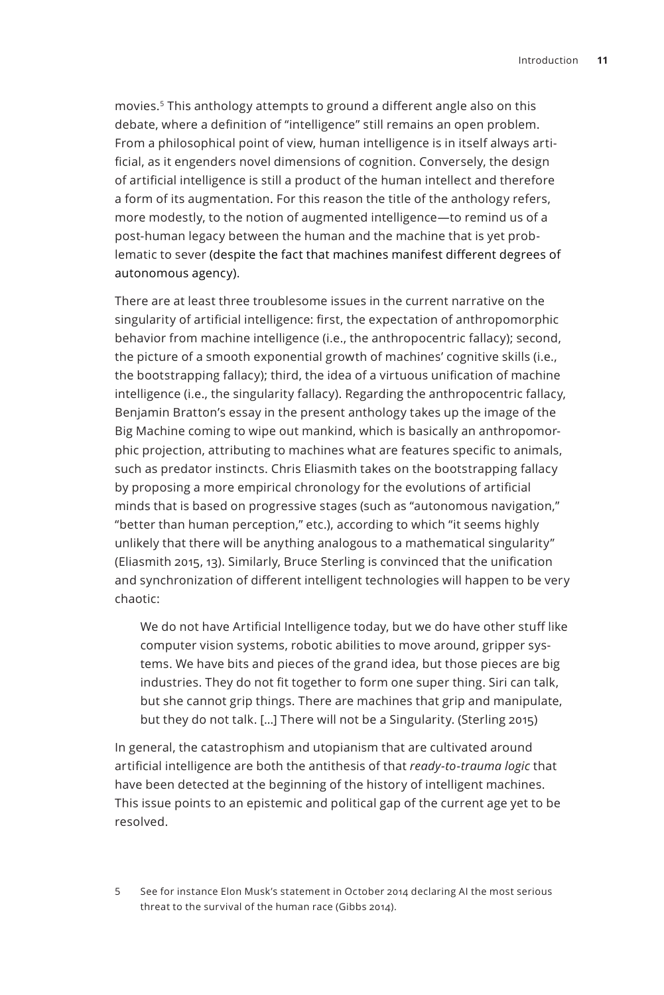movies.5 This anthology attempts to ground a different angle also on this debate, where a definition of "intelligence" still remains an open problem. From a philosophical point of view, human intelligence is in itself always artificial, as it engenders novel dimensions of cognition. Conversely, the design of artificial intelligence is still a product of the human intellect and therefore a form of its augmentation. For this reason the title of the anthology refers, more modestly, to the notion of augmented intelligence—to remind us of a post-human legacy between the human and the machine that is yet problematic to sever (despite the fact that machines manifest different degrees of autonomous agency).

There are at least three troublesome issues in the current narrative on the singularity of artificial intelligence: first, the expectation of anthropomorphic behavior from machine intelligence (i.e., the anthropocentric fallacy); second, the picture of a smooth exponential growth of machines' cognitive skills (i.e., the bootstrapping fallacy); third, the idea of a virtuous unification of machine intelligence (i.e., the singularity fallacy). Regarding the anthropocentric fallacy, Benjamin Bratton's essay in the present anthology takes up the image of the Big Machine coming to wipe out mankind, which is basically an anthropomorphic projection, attributing to machines what are features specific to animals, such as predator instincts. Chris Eliasmith takes on the bootstrapping fallacy by proposing a more empirical chronology for the evolutions of artificial minds that is based on progressive stages (such as "autonomous navigation," "better than human perception," etc.), according to which "it seems highly unlikely that there will be anything analogous to a mathematical singularity" (Eliasmith 2015, 13). Similarly, Bruce Sterling is convinced that the unification and synchronization of different intelligent technologies will happen to be very chaotic:

We do not have Artificial Intelligence today, but we do have other stuff like computer vision systems, robotic abilities to move around, gripper systems. We have bits and pieces of the grand idea, but those pieces are big industries. They do not fit together to form one super thing. Siri can talk, but she cannot grip things. There are machines that grip and manipulate, but they do not talk. […] There will not be a Singularity. (Sterling 2015)

In general, the catastrophism and utopianism that are cultivated around artificial intelligence are both the antithesis of that *ready-to-trauma logic* that have been detected at the beginning of the history of intelligent machines. This issue points to an epistemic and political gap of the current age yet to be resolved.

5 See for instance Elon Musk's statement in October 2014 declaring AI the most serious threat to the survival of the human race (Gibbs 2014).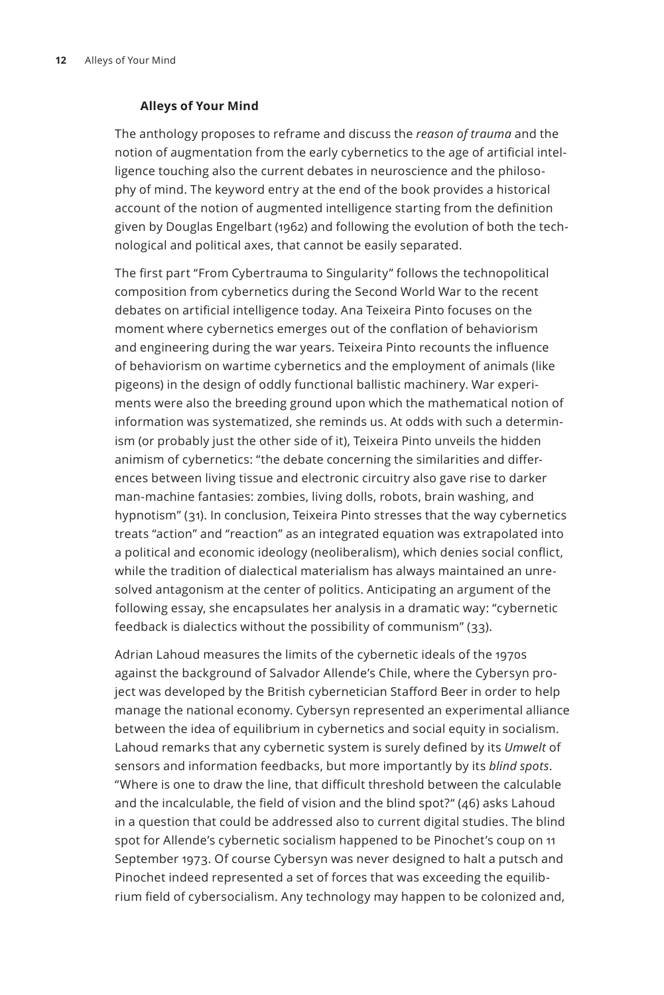#### **Alleys of Your Mind**

The anthology proposes to reframe and discuss the *reason of trauma* and the notion of augmentation from the early cybernetics to the age of artificial intelligence touching also the current debates in neuroscience and the philosophy of mind. The keyword entry at the end of the book provides a historical account of the notion of augmented intelligence starting from the definition given by Douglas Engelbart (1962) and following the evolution of both the technological and political axes, that cannot be easily separated.

The first part "From Cybertrauma to Singularity" follows the technopolitical composition from cybernetics during the Second World War to the recent debates on artificial intelligence today. Ana Teixeira Pinto focuses on the moment where cybernetics emerges out of the conflation of behaviorism and engineering during the war years. Teixeira Pinto recounts the influence of behaviorism on wartime cybernetics and the employment of animals (like pigeons) in the design of oddly functional ballistic machinery. War experiments were also the breeding ground upon which the mathematical notion of information was systematized, she reminds us. At odds with such a determinism (or probably just the other side of it), Teixeira Pinto unveils the hidden animism of cybernetics: "the debate concerning the similarities and differences between living tissue and electronic circuitry also gave rise to darker man-machine fantasies: zombies, living dolls, robots, brain washing, and hypnotism" (31). In conclusion, Teixeira Pinto stresses that the way cybernetics treats "action" and "reaction" as an integrated equation was extrapolated into a political and economic ideology (neoliberalism), which denies social conflict, while the tradition of dialectical materialism has always maintained an unresolved antagonism at the center of politics. Anticipating an argument of the following essay, she encapsulates her analysis in a dramatic way: "cybernetic feedback is dialectics without the possibility of communism" (33).

Adrian Lahoud measures the limits of the cybernetic ideals of the 1970s against the background of Salvador Allende's Chile, where the Cybersyn project was developed by the British cybernetician Stafford Beer in order to help manage the national economy. Cybersyn represented an experimental alliance between the idea of equilibrium in cybernetics and social equity in socialism. Lahoud remarks that any cybernetic system is surely defined by its *Umwelt* of sensors and information feedbacks, but more importantly by its *blind spots*. "Where is one to draw the line, that difficult threshold between the calculable and the incalculable, the field of vision and the blind spot?" (46) asks Lahoud in a question that could be addressed also to current digital studies. The blind spot for Allende's cybernetic socialism happened to be Pinochet's coup on 11 September 1973. Of course Cybersyn was never designed to halt a putsch and Pinochet indeed represented a set of forces that was exceeding the equilibrium field of cybersocialism. Any technology may happen to be colonized and,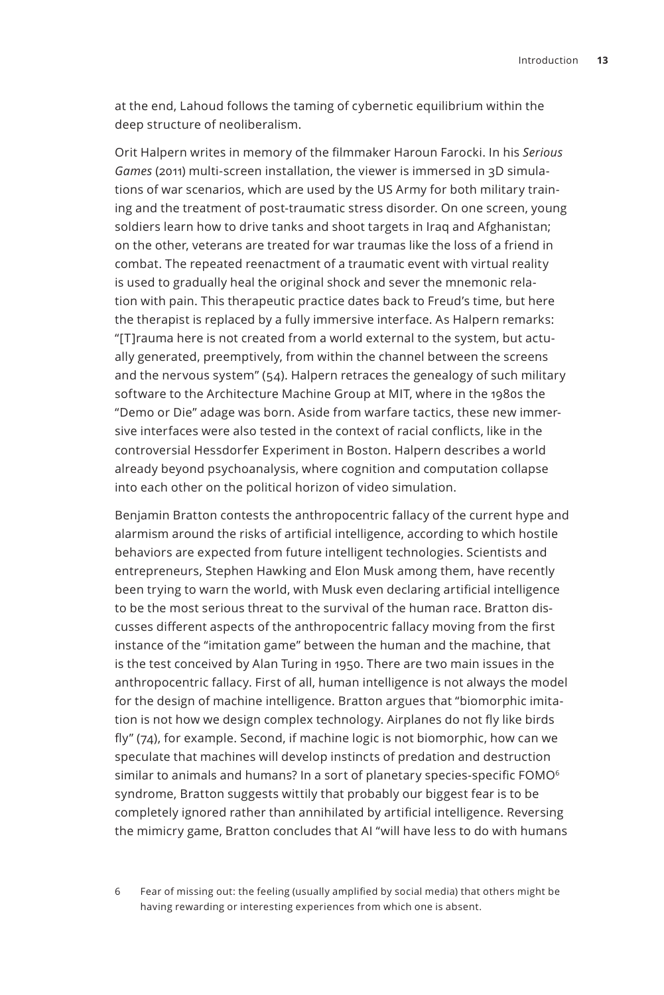at the end, Lahoud follows the taming of cybernetic equilibrium within the deep structure of neoliberalism.

Orit Halpern writes in memory of the filmmaker Haroun Farocki. In his *Serious Games* (2011) multi-screen installation, the viewer is immersed in 3D simulations of war scenarios, which are used by the US Army for both military training and the treatment of post-traumatic stress disorder. On one screen, young soldiers learn how to drive tanks and shoot targets in Iraq and Afghanistan; on the other, veterans are treated for war traumas like the loss of a friend in combat. The repeated reenactment of a traumatic event with virtual reality is used to gradually heal the original shock and sever the mnemonic relation with pain. This therapeutic practice dates back to Freud's time, but here the therapist is replaced by a fully immersive interface. As Halpern remarks: "[T]rauma here is not created from a world external to the system, but actually generated, preemptively, from within the channel between the screens and the nervous system" (54). Halpern retraces the genealogy of such military software to the Architecture Machine Group at MIT, where in the 1980s the "Demo or Die" adage was born. Aside from warfare tactics, these new immersive interfaces were also tested in the context of racial conflicts, like in the controversial Hessdorfer Experiment in Boston. Halpern describes a world already beyond psychoanalysis, where cognition and computation collapse into each other on the political horizon of video simulation.

Benjamin Bratton contests the anthropocentric fallacy of the current hype and alarmism around the risks of artificial intelligence, according to which hostile behaviors are expected from future intelligent technologies. Scientists and entrepreneurs, Stephen Hawking and Elon Musk among them, have recently been trying to warn the world, with Musk even declaring artificial intelligence to be the most serious threat to the survival of the human race. Bratton discusses different aspects of the anthropocentric fallacy moving from the first instance of the "imitation game" between the human and the machine, that is the test conceived by Alan Turing in 1950. There are two main issues in the anthropocentric fallacy. First of all, human intelligence is not always the model for the design of machine intelligence. Bratton argues that "biomorphic imitation is not how we design complex technology. Airplanes do not fly like birds fly" (74), for example. Second, if machine logic is not biomorphic, how can we speculate that machines will develop instincts of predation and destruction similar to animals and humans? In a sort of planetary species-specific FOMO<sup>6</sup> syndrome, Bratton suggests wittily that probably our biggest fear is to be completely ignored rather than annihilated by artificial intelligence. Reversing the mimicry game, Bratton concludes that AI "will have less to do with humans

6 Fear of missing out: the feeling (usually amplified by social media) that others might be having rewarding or interesting experiences from which one is absent.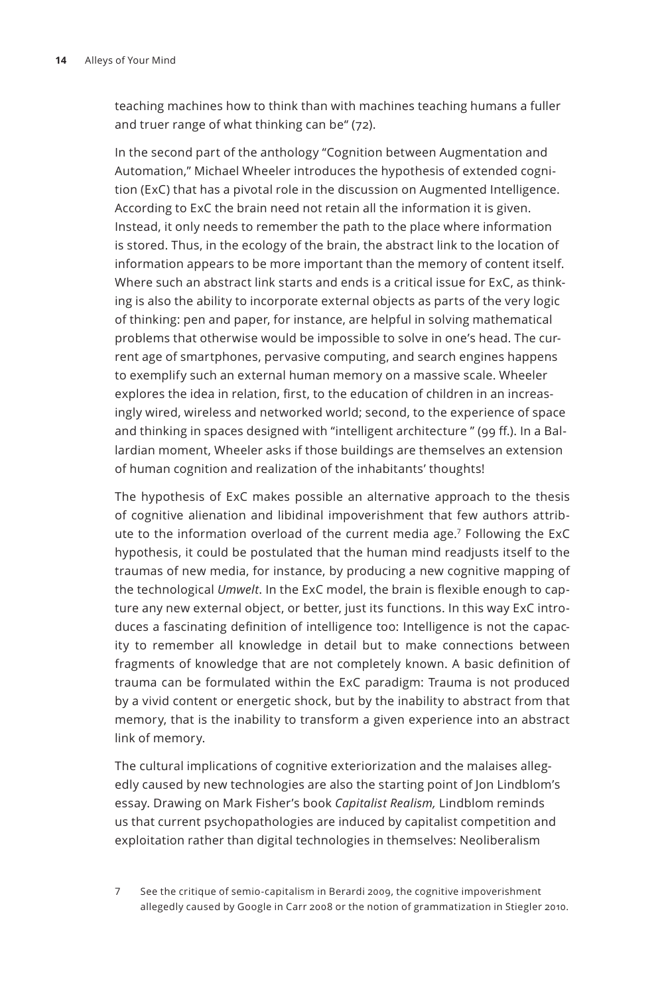teaching machines how to think than with machines teaching humans a fuller and truer range of what thinking can be" (72).

In the second part of the anthology "Cognition between Augmentation and Automation," Michael Wheeler introduces the hypothesis of extended cognition (ExC) that has a pivotal role in the discussion on Augmented Intelligence. According to ExC the brain need not retain all the information it is given. Instead, it only needs to remember the path to the place where information is stored. Thus, in the ecology of the brain, the abstract link to the location of information appears to be more important than the memory of content itself. Where such an abstract link starts and ends is a critical issue for ExC, as thinking is also the ability to incorporate external objects as parts of the very logic of thinking: pen and paper, for instance, are helpful in solving mathematical problems that otherwise would be impossible to solve in one's head. The current age of smartphones, pervasive computing, and search engines happens to exemplify such an external human memory on a massive scale. Wheeler explores the idea in relation, first, to the education of children in an increasingly wired, wireless and networked world; second, to the experience of space and thinking in spaces designed with "intelligent architecture " (99 ff.). In a Ballardian moment, Wheeler asks if those buildings are themselves an extension of human cognition and realization of the inhabitants' thoughts!

The hypothesis of ExC makes possible an alternative approach to the thesis of cognitive alienation and libidinal impoverishment that few authors attribute to the information overload of the current media age.<sup>7</sup> Following the ExC hypothesis, it could be postulated that the human mind readjusts itself to the traumas of new media, for instance, by producing a new cognitive mapping of the technological *Umwelt*. In the ExC model, the brain is flexible enough to capture any new external object, or better, just its functions. In this way ExC introduces a fascinating definition of intelligence too: Intelligence is not the capacity to remember all knowledge in detail but to make connections between fragments of knowledge that are not completely known. A basic definition of trauma can be formulated within the ExC paradigm: Trauma is not produced by a vivid content or energetic shock, but by the inability to abstract from that memory, that is the inability to transform a given experience into an abstract link of memory.

The cultural implications of cognitive exteriorization and the malaises allegedly caused by new technologies are also the starting point of Jon Lindblom's essay. Drawing on Mark Fisher's book *Capitalist Realism,* Lindblom reminds us that current psychopathologies are induced by capitalist competition and exploitation rather than digital technologies in themselves: Neoliberalism

7 See the critique of semio-capitalism in Berardi 2009, the cognitive impoverishment allegedly caused by Google in Carr 2008 or the notion of grammatization in Stiegler 2010.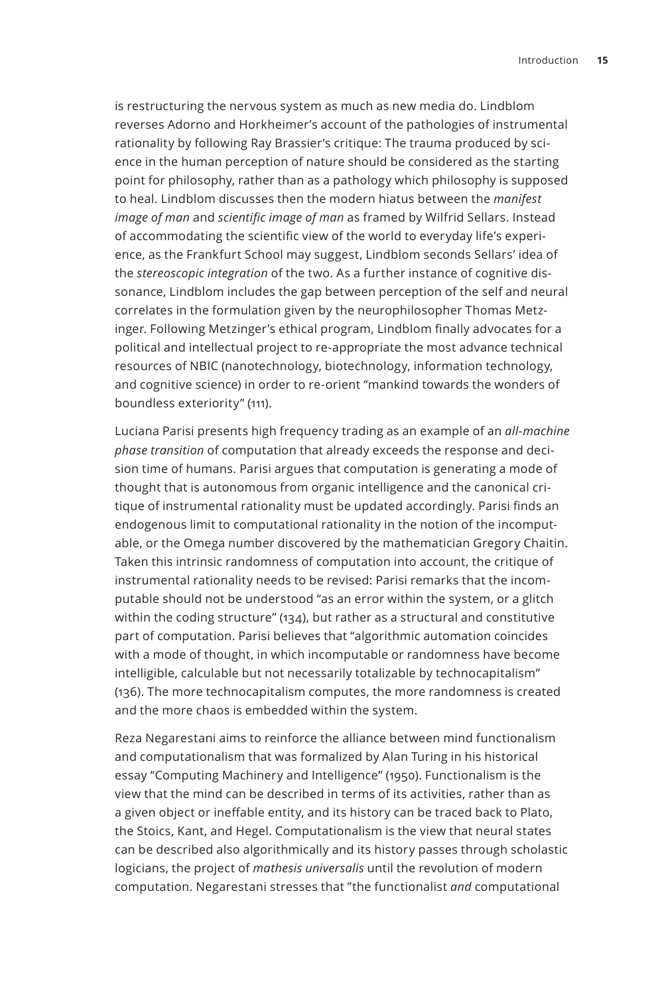is restructuring the nervous system as much as new media do. Lindblom reverses Adorno and Horkheimer's account of the pathologies of instrumental rationality by following Ray Brassier's critique: The trauma produced by science in the human perception of nature should be considered as the starting point for philosophy, rather than as a pathology which philosophy is supposed to heal. Lindblom discusses then the modern hiatus between the *manifest image of man* and *scientific image of man* as framed by Wilfrid Sellars. Instead of accommodating the scientific view of the world to everyday life's experience, as the Frankfurt School may suggest, Lindblom seconds Sellars' idea of the *stereoscopic integration* of the two. As a further instance of cognitive dissonance, Lindblom includes the gap between perception of the self and neural correlates in the formulation given by the neurophilosopher Thomas Metzinger. Following Metzinger's ethical program, Lindblom finally advocates for a political and intellectual project to re-appropriate the most advance technical resources of NBIC (nanotechnology, biotechnology, information technology, and cognitive science) in order to re-orient "mankind towards the wonders of boundless exteriority" (111).

Luciana Parisi presents high frequency trading as an example of an *all-machine phase transition* of computation that already exceeds the response and decision time of humans. Parisi argues that computation is generating a mode of thought that is autonomous from organic intelligence and the canonical critique of instrumental rationality must be updated accordingly. Parisi finds an endogenous limit to computational rationality in the notion of the incomputable, or the Omega number discovered by the mathematician Gregory Chaitin. Taken this intrinsic randomness of computation into account, the critique of instrumental rationality needs to be revised: Parisi remarks that the incomputable should not be understood "as an error within the system, or a glitch within the coding structure" (134), but rather as a structural and constitutive part of computation. Parisi believes that "algorithmic automation coincides with a mode of thought, in which incomputable or randomness have become intelligible, calculable but not necessarily totalizable by technocapitalism" (136). The more technocapitalism computes, the more randomness is created and the more chaos is embedded within the system.

Reza Negarestani aims to reinforce the alliance between mind functionalism and computationalism that was formalized by Alan Turing in his historical essay "Computing Machinery and Intelligence" (1950). Functionalism is the view that the mind can be described in terms of its activities, rather than as a given object or ineffable entity, and its history can be traced back to Plato, the Stoics, Kant, and Hegel. Computationalism is the view that neural states can be described also algorithmically and its history passes through scholastic logicians, the project of *mathesis universalis* until the revolution of modern computation. Negarestani stresses that "the functionalist *and* computational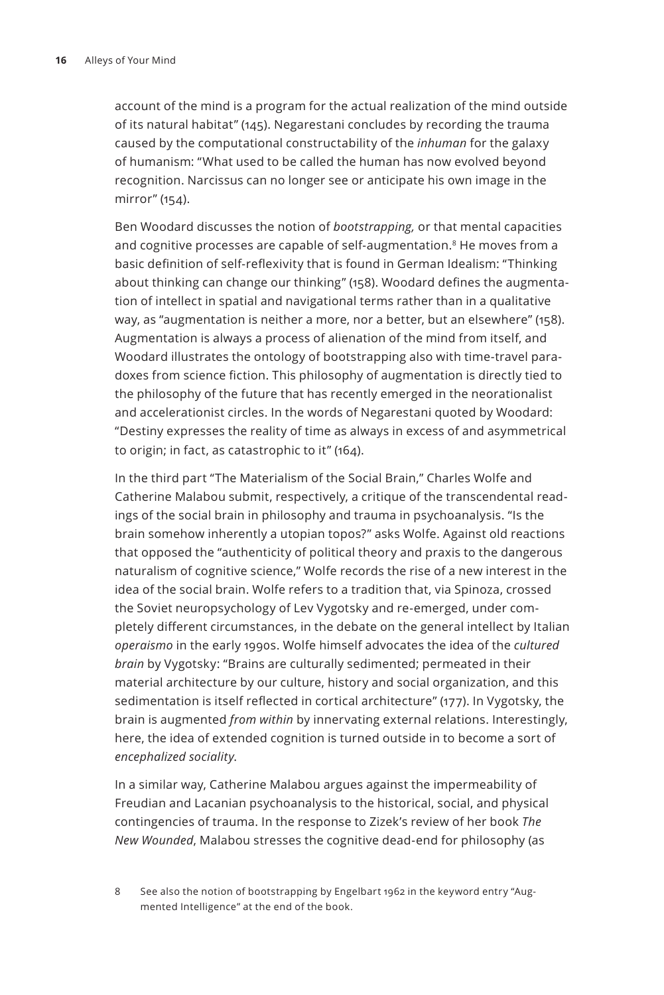account of the mind is a program for the actual realization of the mind outside of its natural habitat" (145). Negarestani concludes by recording the trauma caused by the computational constructability of the *inhuman* for the galaxy of humanism: "What used to be called the human has now evolved beyond recognition. Narcissus can no longer see or anticipate his own image in the mirror" (154).

Ben Woodard discusses the notion of *bootstrapping,* or that mental capacities and cognitive processes are capable of self-augmentation.<sup>8</sup> He moves from a basic definition of self-reflexivity that is found in German Idealism: "Thinking about thinking can change our thinking" (158). Woodard defines the augmentation of intellect in spatial and navigational terms rather than in a qualitative way, as "augmentation is neither a more, nor a better, but an elsewhere" (158). Augmentation is always a process of alienation of the mind from itself, and Woodard illustrates the ontology of bootstrapping also with time-travel paradoxes from science fiction. This philosophy of augmentation is directly tied to the philosophy of the future that has recently emerged in the neorationalist and accelerationist circles. In the words of Negarestani quoted by Woodard: "Destiny expresses the reality of time as always in excess of and asymmetrical to origin; in fact, as catastrophic to it" (164).

In the third part "The Materialism of the Social Brain," Charles Wolfe and Catherine Malabou submit, respectively, a critique of the transcendental readings of the social brain in philosophy and trauma in psychoanalysis. "Is the brain somehow inherently a utopian topos?" asks Wolfe. Against old reactions that opposed the "authenticity of political theory and praxis to the dangerous naturalism of cognitive science," Wolfe records the rise of a new interest in the idea of the social brain. Wolfe refers to a tradition that, via Spinoza, crossed the Soviet neuropsychology of Lev Vygotsky and re-emerged, under completely different circumstances, in the debate on the general intellect by Italian *operaismo* in the early 1990s. Wolfe himself advocates the idea of the *cultured brain* by Vygotsky: "Brains are culturally sedimented; permeated in their material architecture by our culture, history and social organization, and this sedimentation is itself reflected in cortical architecture" (177). In Vygotsky, the brain is augmented *from within* by innervating external relations. Interestingly, here, the idea of extended cognition is turned outside in to become a sort of *encephalized sociality*.

In a similar way, Catherine Malabou argues against the impermeability of Freudian and Lacanian psychoanalysis to the historical, social, and physical contingencies of trauma. In the response to Zizek's review of her book *The New Wounded*, Malabou stresses the cognitive dead-end for philosophy (as

8 See also the notion of bootstrapping by Engelbart 1962 in the keyword entry "Augmented Intelligence" at the end of the book.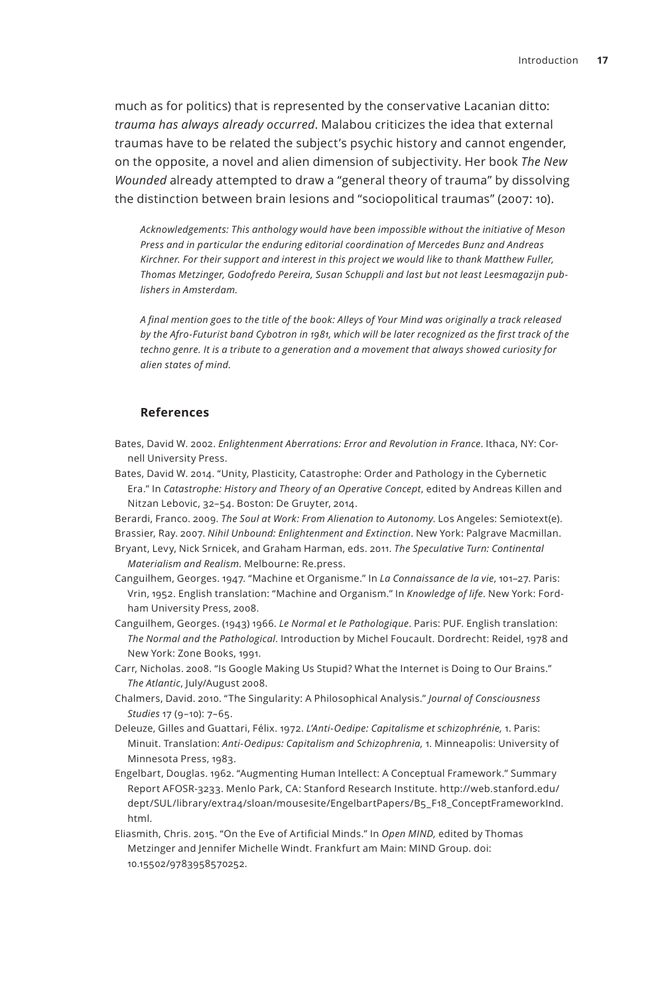much as for politics) that is represented by the conservative Lacanian ditto: *trauma has always already occurred*. Malabou criticizes the idea that external traumas have to be related the subject's psychic history and cannot engender, on the opposite, a novel and alien dimension of subjectivity. Her book *The New Wounded* already attempted to draw a "general theory of trauma" by dissolving the distinction between brain lesions and "sociopolitical traumas" (2007: 10).

*Acknowledgements: This anthology would have been impossible without the initiative of Meson Press and in particular the enduring editorial coordination of Mercedes Bunz and Andreas Kirchner. For their support and interest in this project we would like to thank Matthew Fuller, Thomas Metzinger, Godofredo Pereira, Susan Schuppli and last but not least Leesmagazijn publishers in Amsterdam.* 

*A final mention goes to the title of the book: Alleys of Your Mind was originally a track released by the Afro-Futurist band Cybotron in 1981, which will be later recognized as the first track of the techno genre. It is a tribute to a generation and a movement that always showed curiosity for alien states of mind.*

#### **References**

- Bates, David W. 2002. *Enlightenment Aberrations: Error and Revolution in France*. Ithaca, NY: Cornell University Press.
- Bates, David W. 2014. "Unity, Plasticity, Catastrophe: Order and Pathology in the Cybernetic Era." In *Catastrophe: History and Theory of an Operative Concept*, edited by Andreas Killen and Nitzan Lebovic, 32–54. Boston: De Gruyter, 2014.

Berardi, Franco. 2009. *The Soul at Work: From Alienation to Autonomy*. Los Angeles: Semiotext(e).

- Brassier, Ray. 2007. *Nihil Unbound: Enlightenment and Extinction*. New York: Palgrave Macmillan.
- Bryant, Levy, Nick Srnicek, and Graham Harman, eds. 2011. *The Speculative Turn: Continental Materialism and Realism*. Melbourne: Re.press.
- Canguilhem, Georges. 1947. "Machine et Organisme." In *La Connaissance de la vie*, 101–27. Paris: Vrin, 1952. English translation: "Machine and Organism." In *Knowledge of life*. New York: Fordham University Press, 2008.
- Canguilhem, Georges. (1943) 1966. *Le Normal et le Pathologique*. Paris: PUF. English translation: *The Normal and the Pathological*. Introduction by Michel Foucault. Dordrecht: Reidel, 1978 and New York: Zone Books, 1991.
- Carr, Nicholas. 2008. "Is Google Making Us Stupid? What the Internet is Doing to Our Brains." *The Atlantic*, July/August 2008.
- Chalmers, David. 2010. "The Singularity: A Philosophical Analysis." *Journal of Consciousness Studies* 17 (9–10): 7–65.
- Deleuze, Gilles and Guattari, Félix. 1972. *L'Anti-Oedipe: Capitalisme et schizophrénie,* 1. Paris: Minuit. Translation: *Anti-Oedipus: Capitalism and Schizophrenia,* 1. Minneapolis: University of Minnesota Press, 1983.
- Engelbart, Douglas. 1962. "Augmenting Human Intellect: A Conceptual Framework." Summary Report AFOSR-3233. Menlo Park, CA: Stanford Research Institute. http://web.stanford.edu/ dept/SUL/library/extra4/sloan/mousesite/EngelbartPapers/B5\_F18\_ConceptFrameworkInd. html.
- Eliasmith, Chris. 2015. "On the Eve of Artificial Minds." In *Open MIND,* edited by Thomas Metzinger and Jennifer Michelle Windt. Frankfurt am Main: MIND Group. doi: 10.15502/9783958570252.